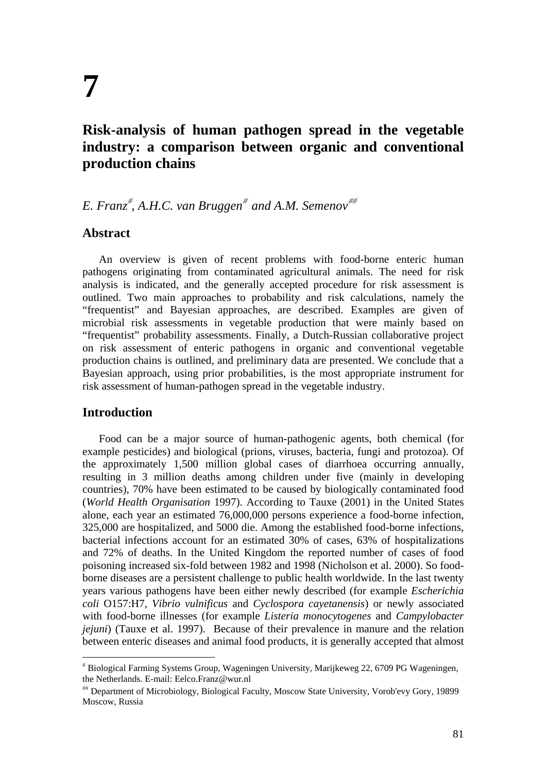# **Risk-analysis of human pathogen spread in the vegetable industry: a comparison between organic and conventional production chains**

# *E. Franz*# *, A.H.C. van Bruggen*# *and A.M. Semenov*##

# **Abstract**

An overview is given of recent problems with food-borne enteric human pathogens originating from contaminated agricultural animals. The need for risk analysis is indicated, and the generally accepted procedure for risk assessment is outlined. Two main approaches to probability and risk calculations, namely the "frequentist" and Bayesian approaches, are described. Examples are given of microbial risk assessments in vegetable production that were mainly based on "frequentist" probability assessments. Finally, a Dutch-Russian collaborative project on risk assessment of enteric pathogens in organic and conventional vegetable production chains is outlined, and preliminary data are presented. We conclude that a Bayesian approach, using prior probabilities, is the most appropriate instrument for risk assessment of human-pathogen spread in the vegetable industry.

# **Introduction**

 $\overline{a}$ 

Food can be a major source of human-pathogenic agents, both chemical (for example pesticides) and biological (prions, viruses, bacteria, fungi and protozoa). Of the approximately 1,500 million global cases of diarrhoea occurring annually, resulting in 3 million deaths among children under five (mainly in developing countries), 70% have been estimated to be caused by biologically contaminated food (*World Health Organisation* 1997). According to Tauxe (2001) in the United States alone, each year an estimated 76,000,000 persons experience a food-borne infection, 325,000 are hospitalized, and 5000 die. Among the established food-borne infections, bacterial infections account for an estimated 30% of cases, 63% of hospitalizations and 72% of deaths. In the United Kingdom the reported number of cases of food poisoning increased six-fold between 1982 and 1998 (Nicholson et al. 2000). So foodborne diseases are a persistent challenge to public health worldwide. In the last twenty years various pathogens have been either newly described (for example *Escherichia coli* O157:H7, *Vibrio vulnificus* and *Cyclospora cayetanensis*) or newly associated with food-borne illnesses (for example *Listeria monocytogenes* and *Campylobacter jejuni*) (Tauxe et al. 1997). Because of their prevalence in manure and the relation between enteric diseases and animal food products, it is generally accepted that almost

<sup>#</sup> Biological Farming Systems Group, Wageningen University, Marijkeweg 22, 6709 PG Wageningen, the Netherlands. E-mail: Eelco.Franz@wur.nl

<sup>##</sup> Department of Microbiology, Biological Faculty, Moscow State University, Vorob'evy Gory, 19899 Moscow, Russia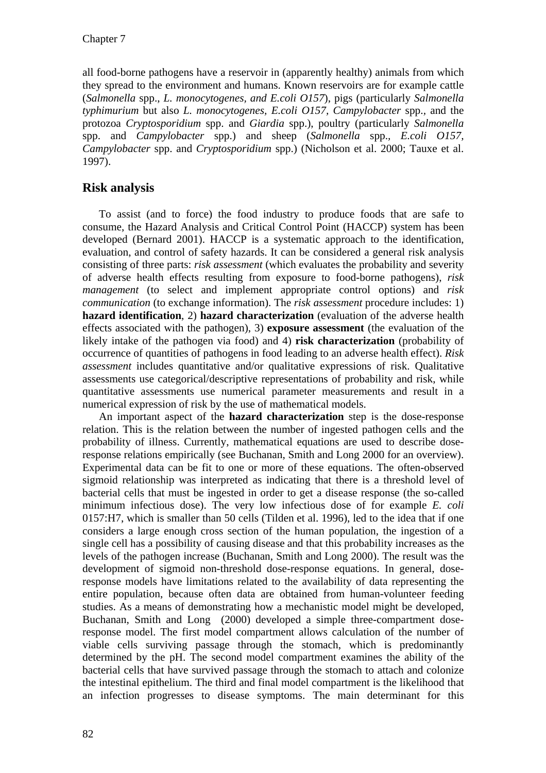all food-borne pathogens have a reservoir in (apparently healthy) animals from which they spread to the environment and humans. Known reservoirs are for example cattle (*Salmonella* spp., *L. monocytogenes, and E.coli O157*), pigs (particularly *Salmonella typhimurium* but also *L. monocytogenes, E.coli O157, Campylobacter* spp.*,* and the protozoa *Cryptosporidium* spp. and *Giardia* spp.), poultry (particularly *Salmonella*  spp. and *Campylobacter* spp.) and sheep (*Salmonella* spp.*, E.coli O157, Campylobacter* spp. and *Cryptosporidium* spp.) (Nicholson et al. 2000; Tauxe et al. 1997).

# **Risk analysis**

To assist (and to force) the food industry to produce foods that are safe to consume, the Hazard Analysis and Critical Control Point (HACCP) system has been developed (Bernard 2001). HACCP is a systematic approach to the identification, evaluation, and control of safety hazards. It can be considered a general risk analysis consisting of three parts: *risk assessment* (which evaluates the probability and severity of adverse health effects resulting from exposure to food-borne pathogens), *risk management* (to select and implement appropriate control options) and *risk communication* (to exchange information). The *risk assessment* procedure includes: 1) **hazard identification**, 2) **hazard characterization** (evaluation of the adverse health effects associated with the pathogen), 3) **exposure assessment** (the evaluation of the likely intake of the pathogen via food) and 4) **risk characterization** (probability of occurrence of quantities of pathogens in food leading to an adverse health effect). *Risk assessment* includes quantitative and/or qualitative expressions of risk. Qualitative assessments use categorical/descriptive representations of probability and risk, while quantitative assessments use numerical parameter measurements and result in a numerical expression of risk by the use of mathematical models.

An important aspect of the **hazard characterization** step is the dose-response relation. This is the relation between the number of ingested pathogen cells and the probability of illness. Currently, mathematical equations are used to describe doseresponse relations empirically (see Buchanan, Smith and Long 2000 for an overview). Experimental data can be fit to one or more of these equations. The often-observed sigmoid relationship was interpreted as indicating that there is a threshold level of bacterial cells that must be ingested in order to get a disease response (the so-called minimum infectious dose). The very low infectious dose of for example *E. coli*  0157:H7, which is smaller than 50 cells (Tilden et al. 1996), led to the idea that if one considers a large enough cross section of the human population, the ingestion of a single cell has a possibility of causing disease and that this probability increases as the levels of the pathogen increase (Buchanan, Smith and Long 2000). The result was the development of sigmoid non-threshold dose-response equations. In general, doseresponse models have limitations related to the availability of data representing the entire population, because often data are obtained from human-volunteer feeding studies. As a means of demonstrating how a mechanistic model might be developed, Buchanan, Smith and Long (2000) developed a simple three-compartment doseresponse model. The first model compartment allows calculation of the number of viable cells surviving passage through the stomach, which is predominantly determined by the pH. The second model compartment examines the ability of the bacterial cells that have survived passage through the stomach to attach and colonize the intestinal epithelium. The third and final model compartment is the likelihood that an infection progresses to disease symptoms. The main determinant for this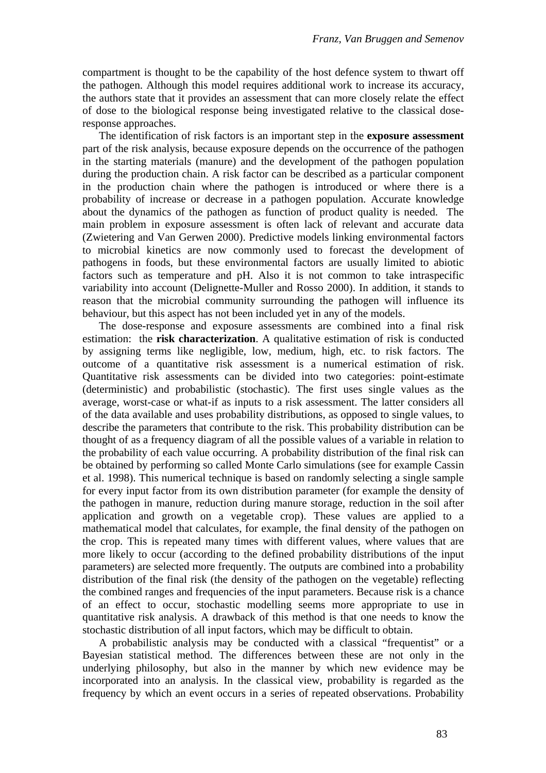compartment is thought to be the capability of the host defence system to thwart off the pathogen. Although this model requires additional work to increase its accuracy, the authors state that it provides an assessment that can more closely relate the effect of dose to the biological response being investigated relative to the classical doseresponse approaches.

The identification of risk factors is an important step in the **exposure assessment** part of the risk analysis, because exposure depends on the occurrence of the pathogen in the starting materials (manure) and the development of the pathogen population during the production chain. A risk factor can be described as a particular component in the production chain where the pathogen is introduced or where there is a probability of increase or decrease in a pathogen population. Accurate knowledge about the dynamics of the pathogen as function of product quality is needed. The main problem in exposure assessment is often lack of relevant and accurate data (Zwietering and Van Gerwen 2000). Predictive models linking environmental factors to microbial kinetics are now commonly used to forecast the development of pathogens in foods, but these environmental factors are usually limited to abiotic factors such as temperature and pH. Also it is not common to take intraspecific variability into account (Delignette-Muller and Rosso 2000). In addition, it stands to reason that the microbial community surrounding the pathogen will influence its behaviour, but this aspect has not been included yet in any of the models.

The dose-response and exposure assessments are combined into a final risk estimation: the **risk characterization**. A qualitative estimation of risk is conducted by assigning terms like negligible, low, medium, high, etc. to risk factors. The outcome of a quantitative risk assessment is a numerical estimation of risk. Quantitative risk assessments can be divided into two categories: point-estimate (deterministic) and probabilistic (stochastic). The first uses single values as the average, worst-case or what-if as inputs to a risk assessment. The latter considers all of the data available and uses probability distributions, as opposed to single values, to describe the parameters that contribute to the risk. This probability distribution can be thought of as a frequency diagram of all the possible values of a variable in relation to the probability of each value occurring. A probability distribution of the final risk can be obtained by performing so called Monte Carlo simulations (see for example Cassin et al. 1998). This numerical technique is based on randomly selecting a single sample for every input factor from its own distribution parameter (for example the density of the pathogen in manure, reduction during manure storage, reduction in the soil after application and growth on a vegetable crop). These values are applied to a mathematical model that calculates, for example, the final density of the pathogen on the crop. This is repeated many times with different values, where values that are more likely to occur (according to the defined probability distributions of the input parameters) are selected more frequently. The outputs are combined into a probability distribution of the final risk (the density of the pathogen on the vegetable) reflecting the combined ranges and frequencies of the input parameters. Because risk is a chance of an effect to occur, stochastic modelling seems more appropriate to use in quantitative risk analysis. A drawback of this method is that one needs to know the stochastic distribution of all input factors, which may be difficult to obtain.

A probabilistic analysis may be conducted with a classical "frequentist" or a Bayesian statistical method. The differences between these are not only in the underlying philosophy, but also in the manner by which new evidence may be incorporated into an analysis. In the classical view, probability is regarded as the frequency by which an event occurs in a series of repeated observations. Probability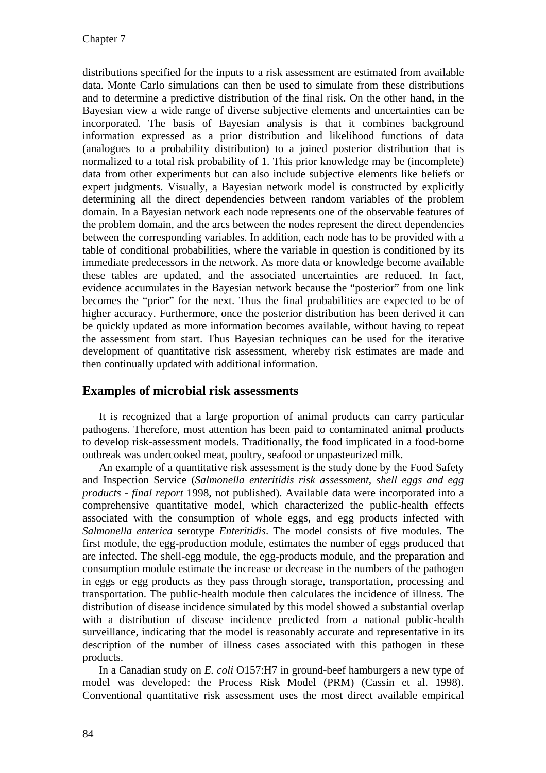distributions specified for the inputs to a risk assessment are estimated from available data. Monte Carlo simulations can then be used to simulate from these distributions and to determine a predictive distribution of the final risk. On the other hand, in the Bayesian view a wide range of diverse subjective elements and uncertainties can be incorporated. The basis of Bayesian analysis is that it combines background information expressed as a prior distribution and likelihood functions of data (analogues to a probability distribution) to a joined posterior distribution that is normalized to a total risk probability of 1. This prior knowledge may be (incomplete) data from other experiments but can also include subjective elements like beliefs or expert judgments. Visually, a Bayesian network model is constructed by explicitly determining all the direct dependencies between random variables of the problem domain. In a Bayesian network each node represents one of the observable features of the problem domain, and the arcs between the nodes represent the direct dependencies between the corresponding variables. In addition, each node has to be provided with a table of conditional probabilities, where the variable in question is conditioned by its immediate predecessors in the network. As more data or knowledge become available these tables are updated, and the associated uncertainties are reduced. In fact, evidence accumulates in the Bayesian network because the "posterior" from one link becomes the "prior" for the next. Thus the final probabilities are expected to be of higher accuracy. Furthermore, once the posterior distribution has been derived it can be quickly updated as more information becomes available, without having to repeat the assessment from start. Thus Bayesian techniques can be used for the iterative development of quantitative risk assessment, whereby risk estimates are made and then continually updated with additional information.

# **Examples of microbial risk assessments**

It is recognized that a large proportion of animal products can carry particular pathogens. Therefore, most attention has been paid to contaminated animal products to develop risk-assessment models. Traditionally, the food implicated in a food-borne outbreak was undercooked meat, poultry, seafood or unpasteurized milk.

An example of a quantitative risk assessment is the study done by the Food Safety and Inspection Service (*Salmonella enteritidis risk assessment, shell eggs and egg products - final report* 1998, not published). Available data were incorporated into a comprehensive quantitative model, which characterized the public-health effects associated with the consumption of whole eggs, and egg products infected with *Salmonella enterica* serotype *Enteritidis*. The model consists of five modules. The first module, the egg-production module, estimates the number of eggs produced that are infected. The shell-egg module, the egg-products module, and the preparation and consumption module estimate the increase or decrease in the numbers of the pathogen in eggs or egg products as they pass through storage, transportation, processing and transportation. The public-health module then calculates the incidence of illness. The distribution of disease incidence simulated by this model showed a substantial overlap with a distribution of disease incidence predicted from a national public-health surveillance, indicating that the model is reasonably accurate and representative in its description of the number of illness cases associated with this pathogen in these products.

In a Canadian study on *E. coli* O157:H7 in ground-beef hamburgers a new type of model was developed: the Process Risk Model (PRM) (Cassin et al. 1998). Conventional quantitative risk assessment uses the most direct available empirical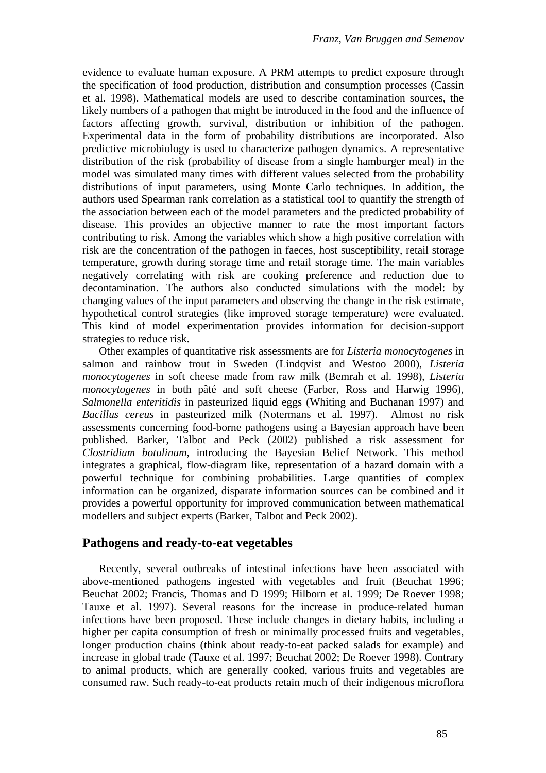evidence to evaluate human exposure. A PRM attempts to predict exposure through the specification of food production, distribution and consumption processes (Cassin et al. 1998). Mathematical models are used to describe contamination sources, the likely numbers of a pathogen that might be introduced in the food and the influence of factors affecting growth, survival, distribution or inhibition of the pathogen. Experimental data in the form of probability distributions are incorporated. Also predictive microbiology is used to characterize pathogen dynamics. A representative distribution of the risk (probability of disease from a single hamburger meal) in the model was simulated many times with different values selected from the probability distributions of input parameters, using Monte Carlo techniques. In addition, the authors used Spearman rank correlation as a statistical tool to quantify the strength of the association between each of the model parameters and the predicted probability of disease. This provides an objective manner to rate the most important factors contributing to risk. Among the variables which show a high positive correlation with risk are the concentration of the pathogen in faeces, host susceptibility, retail storage temperature, growth during storage time and retail storage time. The main variables negatively correlating with risk are cooking preference and reduction due to decontamination. The authors also conducted simulations with the model: by changing values of the input parameters and observing the change in the risk estimate, hypothetical control strategies (like improved storage temperature) were evaluated. This kind of model experimentation provides information for decision-support strategies to reduce risk.

Other examples of quantitative risk assessments are for *Listeria monocytogenes* in salmon and rainbow trout in Sweden (Lindqvist and Westoo 2000), *Listeria monocytogenes* in soft cheese made from raw milk (Bemrah et al. 1998), *Listeria monocytogenes* in both pâté and soft cheese (Farber, Ross and Harwig 1996), *Salmonella enteritidis* in pasteurized liquid eggs (Whiting and Buchanan 1997) and *Bacillus cereus* in pasteurized milk (Notermans et al. 1997). Almost no risk assessments concerning food-borne pathogens using a Bayesian approach have been published. Barker, Talbot and Peck (2002) published a risk assessment for *Clostridium botulinum*, introducing the Bayesian Belief Network. This method integrates a graphical, flow-diagram like, representation of a hazard domain with a powerful technique for combining probabilities. Large quantities of complex information can be organized, disparate information sources can be combined and it provides a powerful opportunity for improved communication between mathematical modellers and subject experts (Barker, Talbot and Peck 2002).

# **Pathogens and ready-to-eat vegetables**

Recently, several outbreaks of intestinal infections have been associated with above-mentioned pathogens ingested with vegetables and fruit (Beuchat 1996; Beuchat 2002; Francis, Thomas and D 1999; Hilborn et al. 1999; De Roever 1998; Tauxe et al. 1997). Several reasons for the increase in produce-related human infections have been proposed. These include changes in dietary habits, including a higher per capita consumption of fresh or minimally processed fruits and vegetables, longer production chains (think about ready-to-eat packed salads for example) and increase in global trade (Tauxe et al. 1997; Beuchat 2002; De Roever 1998). Contrary to animal products, which are generally cooked, various fruits and vegetables are consumed raw. Such ready-to-eat products retain much of their indigenous microflora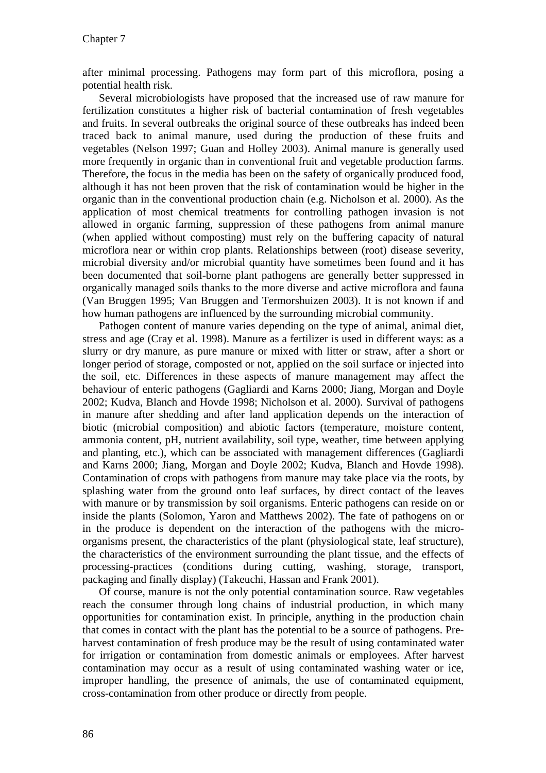after minimal processing. Pathogens may form part of this microflora, posing a potential health risk.

Several microbiologists have proposed that the increased use of raw manure for fertilization constitutes a higher risk of bacterial contamination of fresh vegetables and fruits. In several outbreaks the original source of these outbreaks has indeed been traced back to animal manure, used during the production of these fruits and vegetables (Nelson 1997; Guan and Holley 2003). Animal manure is generally used more frequently in organic than in conventional fruit and vegetable production farms. Therefore, the focus in the media has been on the safety of organically produced food, although it has not been proven that the risk of contamination would be higher in the organic than in the conventional production chain (e.g. Nicholson et al. 2000). As the application of most chemical treatments for controlling pathogen invasion is not allowed in organic farming, suppression of these pathogens from animal manure (when applied without composting) must rely on the buffering capacity of natural microflora near or within crop plants. Relationships between (root) disease severity, microbial diversity and/or microbial quantity have sometimes been found and it has been documented that soil-borne plant pathogens are generally better suppressed in organically managed soils thanks to the more diverse and active microflora and fauna (Van Bruggen 1995; Van Bruggen and Termorshuizen 2003). It is not known if and how human pathogens are influenced by the surrounding microbial community.

Pathogen content of manure varies depending on the type of animal, animal diet, stress and age (Cray et al. 1998). Manure as a fertilizer is used in different ways: as a slurry or dry manure, as pure manure or mixed with litter or straw, after a short or longer period of storage, composted or not, applied on the soil surface or injected into the soil, etc. Differences in these aspects of manure management may affect the behaviour of enteric pathogens (Gagliardi and Karns 2000; Jiang, Morgan and Doyle 2002; Kudva, Blanch and Hovde 1998; Nicholson et al. 2000). Survival of pathogens in manure after shedding and after land application depends on the interaction of biotic (microbial composition) and abiotic factors (temperature, moisture content, ammonia content, pH, nutrient availability, soil type, weather, time between applying and planting, etc.), which can be associated with management differences (Gagliardi and Karns 2000; Jiang, Morgan and Doyle 2002; Kudva, Blanch and Hovde 1998). Contamination of crops with pathogens from manure may take place via the roots, by splashing water from the ground onto leaf surfaces, by direct contact of the leaves with manure or by transmission by soil organisms. Enteric pathogens can reside on or inside the plants (Solomon, Yaron and Matthews 2002). The fate of pathogens on or in the produce is dependent on the interaction of the pathogens with the microorganisms present, the characteristics of the plant (physiological state, leaf structure), the characteristics of the environment surrounding the plant tissue, and the effects of processing-practices (conditions during cutting, washing, storage, transport, packaging and finally display) (Takeuchi, Hassan and Frank 2001).

Of course, manure is not the only potential contamination source. Raw vegetables reach the consumer through long chains of industrial production, in which many opportunities for contamination exist. In principle, anything in the production chain that comes in contact with the plant has the potential to be a source of pathogens. Preharvest contamination of fresh produce may be the result of using contaminated water for irrigation or contamination from domestic animals or employees. After harvest contamination may occur as a result of using contaminated washing water or ice, improper handling, the presence of animals, the use of contaminated equipment, cross-contamination from other produce or directly from people.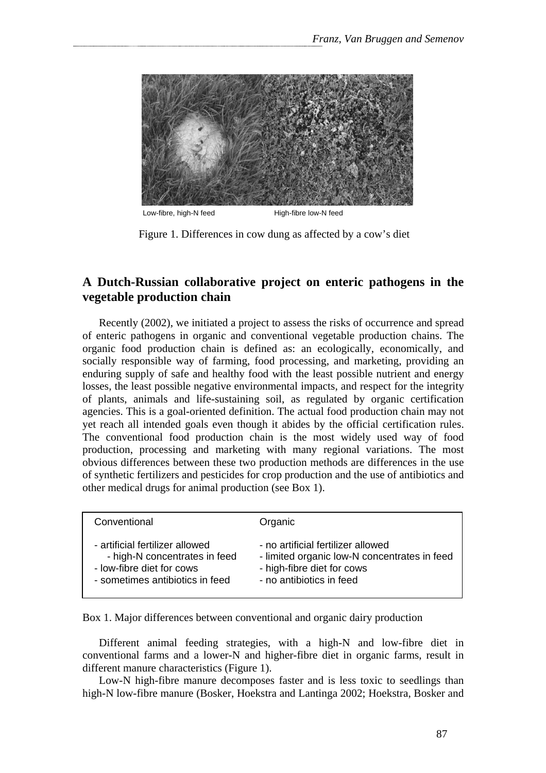

Figure 1. Differences in cow dung as affected by a cow's diet

# **A Dutch-Russian collaborative project on enteric pathogens in the vegetable production chain**

Recently (2002), we initiated a project to assess the risks of occurrence and spread of enteric pathogens in organic and conventional vegetable production chains. The organic food production chain is defined as: an ecologically, economically, and socially responsible way of farming, food processing, and marketing, providing an enduring supply of safe and healthy food with the least possible nutrient and energy losses, the least possible negative environmental impacts, and respect for the integrity of plants, animals and life-sustaining soil, as regulated by organic certification agencies. This is a goal-oriented definition. The actual food production chain may not yet reach all intended goals even though it abides by the official certification rules. The conventional food production chain is the most widely used way of food production, processing and marketing with many regional variations. The most obvious differences between these two production methods are differences in the use of synthetic fertilizers and pesticides for crop production and the use of antibiotics and other medical drugs for animal production (see Box 1).

| Conventional                    | Organic                                      |
|---------------------------------|----------------------------------------------|
| - artificial fertilizer allowed | - no artificial fertilizer allowed           |
| - high-N concentrates in feed   | - limited organic low-N concentrates in feed |
| - low-fibre diet for cows       | - high-fibre diet for cows                   |
| - sometimes antibiotics in feed | - no antibiotics in feed                     |

Box 1. Major differences between conventional and organic dairy production

Different animal feeding strategies, with a high-N and low-fibre diet in conventional farms and a lower-N and higher-fibre diet in organic farms, result in different manure characteristics (Figure 1).

Low-N high-fibre manure decomposes faster and is less toxic to seedlings than high-N low-fibre manure (Bosker, Hoekstra and Lantinga 2002; Hoekstra, Bosker and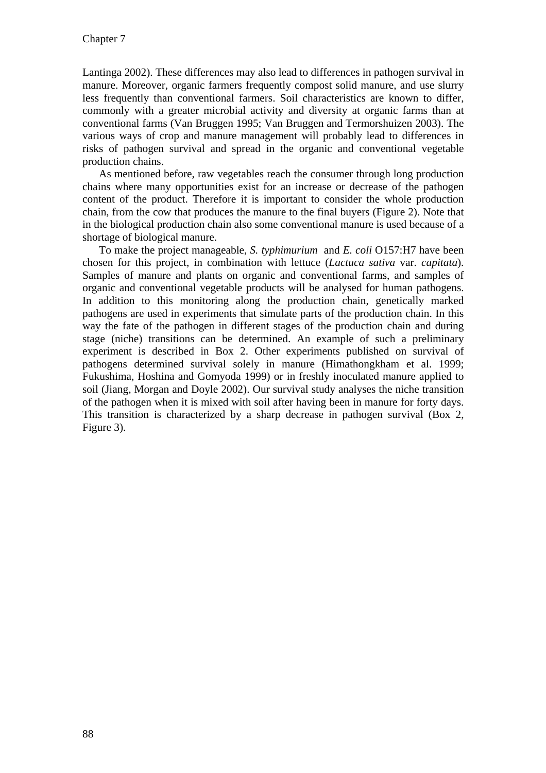Lantinga 2002). These differences may also lead to differences in pathogen survival in manure. Moreover, organic farmers frequently compost solid manure, and use slurry less frequently than conventional farmers. Soil characteristics are known to differ, commonly with a greater microbial activity and diversity at organic farms than at conventional farms (Van Bruggen 1995; Van Bruggen and Termorshuizen 2003). The various ways of crop and manure management will probably lead to differences in risks of pathogen survival and spread in the organic and conventional vegetable production chains.

As mentioned before, raw vegetables reach the consumer through long production chains where many opportunities exist for an increase or decrease of the pathogen content of the product. Therefore it is important to consider the whole production chain, from the cow that produces the manure to the final buyers (Figure 2). Note that in the biological production chain also some conventional manure is used because of a shortage of biological manure.

To make the project manageable, *S. typhimurium* and *E. coli* O157:H7 have been chosen for this project, in combination with lettuce (*Lactuca sativa* var. *capitata*). Samples of manure and plants on organic and conventional farms, and samples of organic and conventional vegetable products will be analysed for human pathogens. In addition to this monitoring along the production chain, genetically marked pathogens are used in experiments that simulate parts of the production chain. In this way the fate of the pathogen in different stages of the production chain and during stage (niche) transitions can be determined. An example of such a preliminary experiment is described in Box 2. Other experiments published on survival of pathogens determined survival solely in manure (Himathongkham et al. 1999; Fukushima, Hoshina and Gomyoda 1999) or in freshly inoculated manure applied to soil (Jiang, Morgan and Doyle 2002). Our survival study analyses the niche transition of the pathogen when it is mixed with soil after having been in manure for forty days. This transition is characterized by a sharp decrease in pathogen survival (Box 2, Figure 3).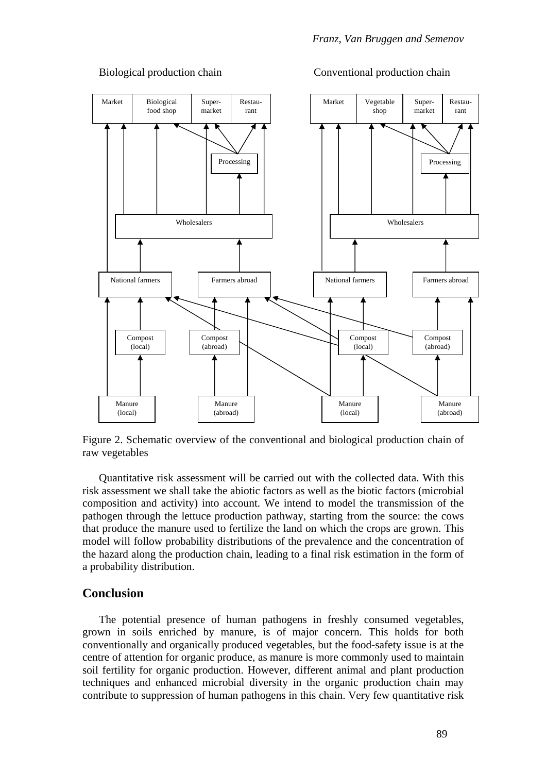

### Biological production chain Conventional production chain

Figure 2. Schematic overview of the conventional and biological production chain of raw vegetables

Quantitative risk assessment will be carried out with the collected data. With this risk assessment we shall take the abiotic factors as well as the biotic factors (microbial composition and activity) into account. We intend to model the transmission of the pathogen through the lettuce production pathway, starting from the source: the cows that produce the manure used to fertilize the land on which the crops are grown. This model will follow probability distributions of the prevalence and the concentration of the hazard along the production chain, leading to a final risk estimation in the form of a probability distribution.

## **Conclusion**

The potential presence of human pathogens in freshly consumed vegetables, grown in soils enriched by manure, is of major concern. This holds for both conventionally and organically produced vegetables, but the food-safety issue is at the centre of attention for organic produce, as manure is more commonly used to maintain soil fertility for organic production. However, different animal and plant production techniques and enhanced microbial diversity in the organic production chain may contribute to suppression of human pathogens in this chain. Very few quantitative risk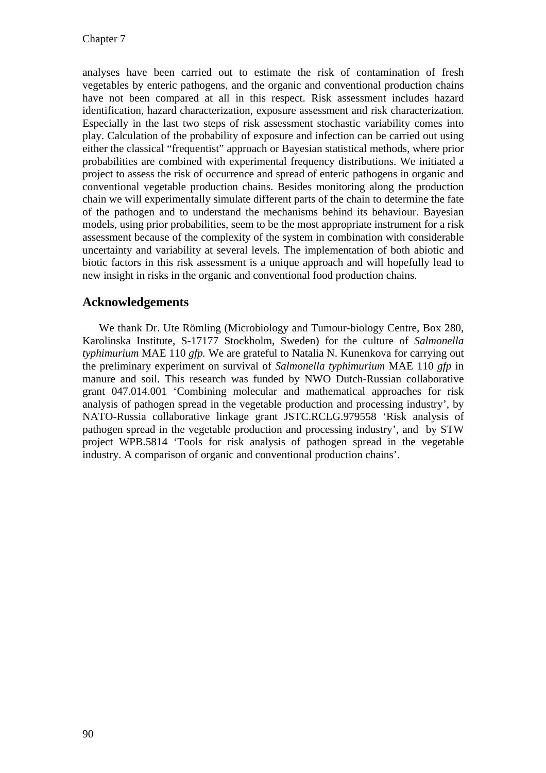analyses have been carried out to estimate the risk of contamination of fresh vegetables by enteric pathogens, and the organic and conventional production chains have not been compared at all in this respect. Risk assessment includes hazard identification, hazard characterization, exposure assessment and risk characterization. Especially in the last two steps of risk assessment stochastic variability comes into play. Calculation of the probability of exposure and infection can be carried out using either the classical "frequentist" approach or Bayesian statistical methods, where prior probabilities are combined with experimental frequency distributions. We initiated a project to assess the risk of occurrence and spread of enteric pathogens in organic and conventional vegetable production chains. Besides monitoring along the production chain we will experimentally simulate different parts of the chain to determine the fate of the pathogen and to understand the mechanisms behind its behaviour. Bayesian models, using prior probabilities, seem to be the most appropriate instrument for a risk assessment because of the complexity of the system in combination with considerable uncertainty and variability at several levels. The implementation of both abiotic and biotic factors in this risk assessment is a unique approach and will hopefully lead to new insight in risks in the organic and conventional food production chains.

# **Acknowledgements**

We thank Dr. Ute Römling (Microbiology and Tumour-biology Centre, Box 280, Karolinska Institute, S-17177 Stockholm, Sweden) for the culture of *Salmonella typhimurium* MAE 110 *gfp.* We are grateful to Natalia N. Kunenkova for carrying out the preliminary experiment on survival of *Salmonella typhimurium* MAE 110 *gfp* in manure and soil. This research was funded by NWO Dutch-Russian collaborative grant 047.014.001 'Combining molecular and mathematical approaches for risk analysis of pathogen spread in the vegetable production and processing industry', by NATO-Russia collaborative linkage grant JSTC.RCLG.979558 'Risk analysis of pathogen spread in the vegetable production and processing industry', and by STW project WPB.5814 'Tools for risk analysis of pathogen spread in the vegetable industry. A comparison of organic and conventional production chains'.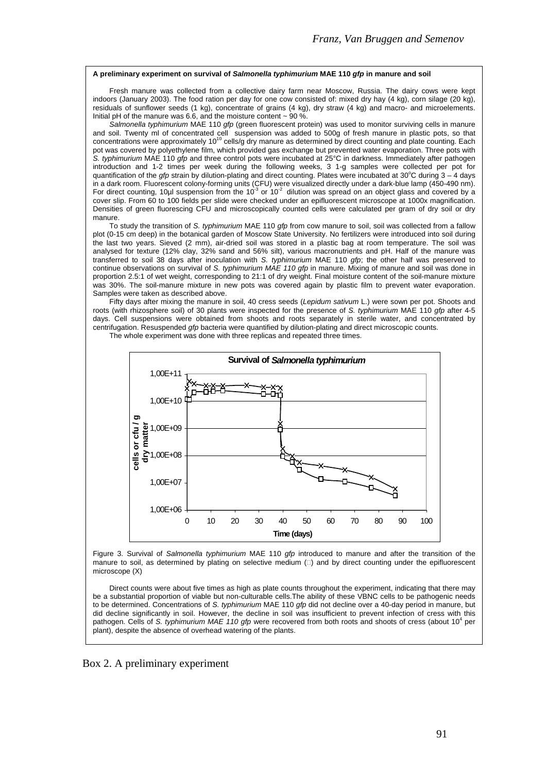#### **A preliminary experiment on survival of** *Salmonella typhimurium* **MAE 110** *gfp* **in manure and soil**

Fresh manure was collected from a collective dairy farm near Moscow, Russia. The dairy cows were kept indoors (January 2003). The food ration per day for one cow consisted of: mixed dry hay (4 kg), corn silage (20 kg), residuals of sunflower seeds (1 kg), concentrate of grains (4 kg), dry straw (4 kg) and macro- and microelements. Initial pH of the manure was 6.6, and the moisture content  $\sim$  90 %.

*Salmonella typhimurium* MAE 110 *gfp* (green fluorescent protein) was used to monitor surviving cells in manure and soil. Twenty ml of concentrated cell suspension was added to 500g of fresh manure in plastic pots, so that<br>concentrations were approximately 10<sup>10</sup> cells/g dry manure as determined by direct counting and plate counting pot was covered by polyethylene film, which provided gas exchange but prevented water evaporation. Three pots with *S. typhimurium* MAE 110 *gfp* and three control pots were incubated at 25°C in darkness. Immediately after pathogen introduction and 1-2 times per week during the following weeks, 3 1-g samples were collected per pot for quantification of the *gfp* strain by dilution-plating and direct counting. Plates were incubated at  $30^{\circ}$ C during  $3 - 4$  days in a dark room. Fluorescent colony-forming units (CFU) were visualized directly under a dark-blue lamp (450-490 nm).<br>For direct counting, 10µl suspension from the 10<sup>-3</sup> or 10<sup>-2</sup> dilution was spread on an object glass and cover slip. From 60 to 100 fields per slide were checked under an epifluorescent microscope at 1000x magnification. Densities of green fluorescing CFU and microscopically counted cells were calculated per gram of dry soil or dry manure.

To study the transition of *S. typhimurium* MAE 110 *gfp* from cow manure to soil, soil was collected from a fallow plot (0-15 cm deep) in the botanical garden of Moscow State University. No fertilizers were introduced into soil during the last two years. Sieved (2 mm), air-dried soil was stored in a plastic bag at room temperature. The soil was analysed for texture (12% clay, 32% sand and 56% silt), various macronutrients and pH. Half of the manure was transferred to soil 38 days after inoculation with *S. typhimurium* MAE 110 *gfp*; the other half was preserved to continue observations on survival of *S. typhimurium MAE 110 gfp* in manure. Mixing of manure and soil was done in proportion 2.5:1 of wet weight, corresponding to 21:1 of dry weight. Final moisture content of the soil-manure mixture was 30%. The soil-manure mixture in new pots was covered again by plastic film to prevent water evaporation. Samples were taken as described above.

Fifty days after mixing the manure in soil, 40 cress seeds (*Lepidum sativum* L.) were sown per pot. Shoots and roots (with rhizosphere soil) of 30 plants were inspected for the presence of *S. typhimurium* MAE 110 *gfp* after 4-5 days. Cell suspensions were obtained from shoots and roots separately in sterile water, and concentrated by centrifugation. Resuspended *gfp* bacteria were quantified by dilution-plating and direct microscopic counts.



The whole experiment was done with three replicas and repeated three times.

Figure 3. Survival of *Salmonella typhimurium* MAE 110 *gfp* introduced to manure and after the transition of the manure to soil, as determined by plating on selective medium  $\Box$ ) and by direct counting under the epifluorescent microscope (X)

Direct counts were about five times as high as plate counts throughout the experiment, indicating that there may be a substantial proportion of viable but non-culturable cells.The ability of these VBNC cells to be pathogenic needs to be determined. Concentrations of *S. typhimurium* MAE 110 *gfp* did not decline over a 40-day period in manure, but did decline significantly in soil. However, the decline in soil was insufficient to prevent infection of cress with this pathogen. Cells of S. typhimurium MAE 110 gfp were recovered from both roots and shoots of cress (about 10<sup>4</sup> per plant), despite the absence of overhead watering of the plants.

Box 2. A preliminary experiment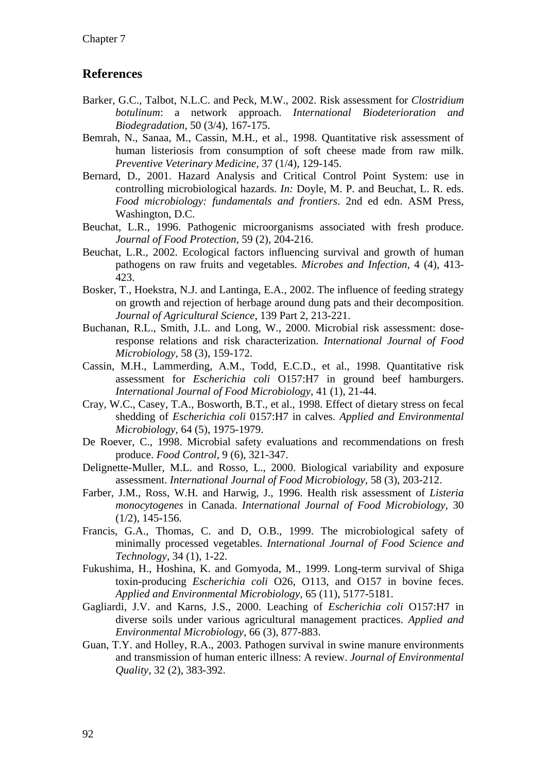# **References**

- Barker, G.C., Talbot, N.L.C. and Peck, M.W., 2002. Risk assessment for *Clostridium botulinum*: a network approach. *International Biodeterioration and Biodegradation,* 50 (3/4), 167-175.
- Bemrah, N., Sanaa, M., Cassin, M.H., et al., 1998. Quantitative risk assessment of human listeriosis from consumption of soft cheese made from raw milk. *Preventive Veterinary Medicine,* 37 (1/4), 129-145.
- Bernard, D., 2001. Hazard Analysis and Critical Control Point System: use in controlling microbiological hazards. *In:* Doyle, M. P. and Beuchat, L. R. eds. *Food microbiology: fundamentals and frontiers*. 2nd ed edn. ASM Press, Washington, D.C.
- Beuchat, L.R., 1996. Pathogenic microorganisms associated with fresh produce. *Journal of Food Protection,* 59 (2), 204-216.
- Beuchat, L.R., 2002. Ecological factors influencing survival and growth of human pathogens on raw fruits and vegetables. *Microbes and Infection,* 4 (4), 413- 423.
- Bosker, T., Hoekstra, N.J. and Lantinga, E.A., 2002. The influence of feeding strategy on growth and rejection of herbage around dung pats and their decomposition. *Journal of Agricultural Science,* 139 Part 2, 213-221.
- Buchanan, R.L., Smith, J.L. and Long, W., 2000. Microbial risk assessment: doseresponse relations and risk characterization. *International Journal of Food Microbiology,* 58 (3), 159-172.
- Cassin, M.H., Lammerding, A.M., Todd, E.C.D., et al., 1998. Quantitative risk assessment for *Escherichia coli* O157:H7 in ground beef hamburgers. *International Journal of Food Microbiology,* 41 (1), 21-44.
- Cray, W.C., Casey, T.A., Bosworth, B.T., et al., 1998. Effect of dietary stress on fecal shedding of *Escherichia coli* 0157:H7 in calves. *Applied and Environmental Microbiology,* 64 (5), 1975-1979.
- De Roever, C., 1998. Microbial safety evaluations and recommendations on fresh produce. *Food Control,* 9 (6), 321-347.
- Delignette-Muller, M.L. and Rosso, L., 2000. Biological variability and exposure assessment. *International Journal of Food Microbiology,* 58 (3), 203-212.
- Farber, J.M., Ross, W.H. and Harwig, J., 1996. Health risk assessment of *Listeria monocytogenes* in Canada. *International Journal of Food Microbiology,* 30 (1/2), 145-156.
- Francis, G.A., Thomas, C. and D, O.B., 1999. The microbiological safety of minimally processed vegetables. *International Journal of Food Science and Technology,* 34 (1), 1-22.
- Fukushima, H., Hoshina, K. and Gomyoda, M., 1999. Long-term survival of Shiga toxin-producing *Escherichia coli* O26, O113, and O157 in bovine feces. *Applied and Environmental Microbiology,* 65 (11), 5177-5181.
- Gagliardi, J.V. and Karns, J.S., 2000. Leaching of *Escherichia coli* O157:H7 in diverse soils under various agricultural management practices. *Applied and Environmental Microbiology,* 66 (3), 877-883.
- Guan, T.Y. and Holley, R.A., 2003. Pathogen survival in swine manure environments and transmission of human enteric illness: A review. *Journal of Environmental Quality,* 32 (2), 383-392.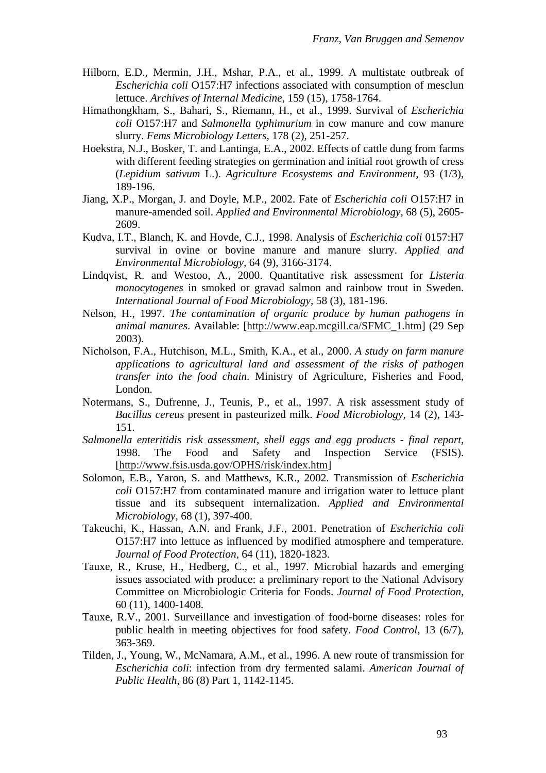- Hilborn, E.D., Mermin, J.H., Mshar, P.A., et al., 1999. A multistate outbreak of *Escherichia coli* O157:H7 infections associated with consumption of mesclun lettuce. *Archives of Internal Medicine,* 159 (15), 1758-1764.
- Himathongkham, S., Bahari, S., Riemann, H., et al., 1999. Survival of *Escherichia coli* O157:H7 and *Salmonella typhimurium* in cow manure and cow manure slurry. *Fems Microbiology Letters,* 178 (2), 251-257.
- Hoekstra, N.J., Bosker, T. and Lantinga, E.A., 2002. Effects of cattle dung from farms with different feeding strategies on germination and initial root growth of cress (*Lepidium sativum* L.). *Agriculture Ecosystems and Environment,* 93 (1/3), 189-196.
- Jiang, X.P., Morgan, J. and Doyle, M.P., 2002. Fate of *Escherichia coli* O157:H7 in manure-amended soil. *Applied and Environmental Microbiology,* 68 (5), 2605- 2609.
- Kudva, I.T., Blanch, K. and Hovde, C.J., 1998. Analysis of *Escherichia coli* 0157:H7 survival in ovine or bovine manure and manure slurry. *Applied and Environmental Microbiology,* 64 (9), 3166-3174.
- Lindqvist, R. and Westoo, A., 2000. Quantitative risk assessment for *Listeria monocytogenes* in smoked or gravad salmon and rainbow trout in Sweden. *International Journal of Food Microbiology,* 58 (3), 181-196.
- Nelson, H., 1997. *The contamination of organic produce by human pathogens in animal manures*. Available: [http://www.eap.mcgill.ca/SFMC\_1.htm] (29 Sep 2003).
- Nicholson, F.A., Hutchison, M.L., Smith, K.A., et al., 2000. *A study on farm manure applications to agricultural land and assessment of the risks of pathogen transfer into the food chain*. Ministry of Agriculture, Fisheries and Food, London.
- Notermans, S., Dufrenne, J., Teunis, P., et al., 1997. A risk assessment study of *Bacillus cereus* present in pasteurized milk. *Food Microbiology,* 14 (2), 143- 151.
- *Salmonella enteritidis risk assessment, shell eggs and egg products final report*, 1998. The Food and Safety and Inspection Service (FSIS). [http://www.fsis.usda.gov/OPHS/risk/index.htm]
- Solomon, E.B., Yaron, S. and Matthews, K.R., 2002. Transmission of *Escherichia coli* O157:H7 from contaminated manure and irrigation water to lettuce plant tissue and its subsequent internalization. *Applied and Environmental Microbiology,* 68 (1), 397-400.
- Takeuchi, K., Hassan, A.N. and Frank, J.F., 2001. Penetration of *Escherichia coli* O157:H7 into lettuce as influenced by modified atmosphere and temperature. *Journal of Food Protection,* 64 (11), 1820-1823.
- Tauxe, R., Kruse, H., Hedberg, C., et al., 1997. Microbial hazards and emerging issues associated with produce: a preliminary report to the National Advisory Committee on Microbiologic Criteria for Foods. *Journal of Food Protection,* 60 (11), 1400-1408.
- Tauxe, R.V., 2001. Surveillance and investigation of food-borne diseases: roles for public health in meeting objectives for food safety. *Food Control,* 13 (6/7), 363-369.
- Tilden, J., Young, W., McNamara, A.M., et al., 1996. A new route of transmission for *Escherichia coli*: infection from dry fermented salami. *American Journal of Public Health,* 86 (8) Part 1, 1142-1145.